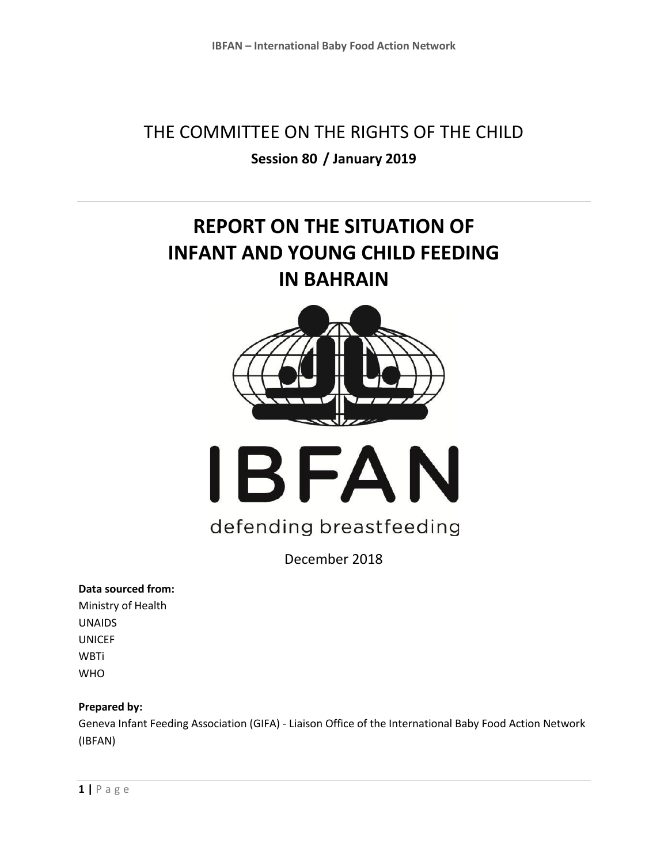# THE COMMITTEE ON THE RIGHTS OF THE CHILD **Session 80 / January 2019**

# **REPORT ON THE SITUATION OF INFANT AND YOUNG CHILD FEEDING IN BAHRAIN**





# defending breastfeeding

December 2018

#### **Data sourced from:**

Ministry of Health UNAIDS UNICEF **WBTi** WHO

#### **Prepared by:**

Geneva Infant Feeding Association (GIFA) - Liaison Office of the International Baby Food Action Network (IBFAN)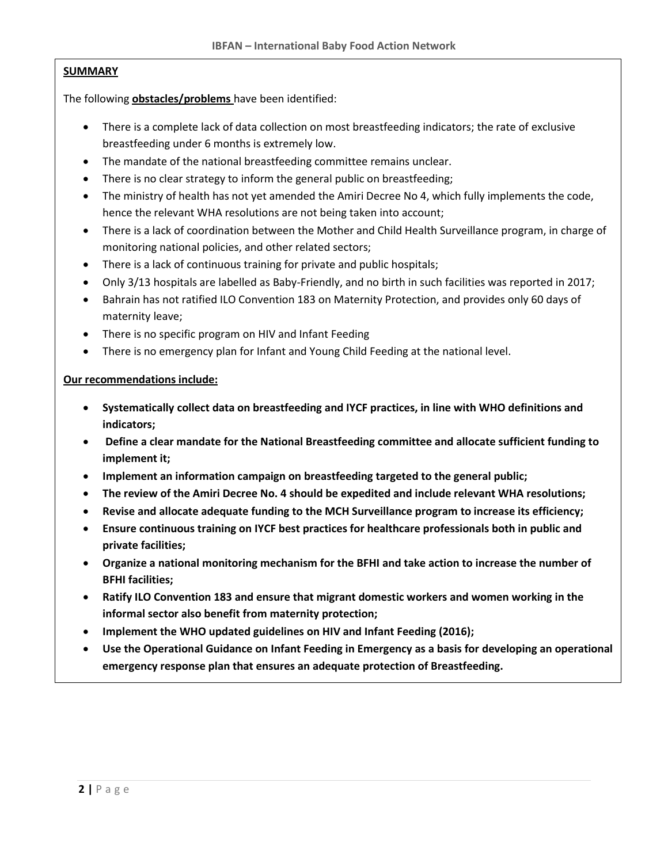#### **SUMMARY**

The following **obstacles/problems** have been identified:

- There is a complete lack of data collection on most breastfeeding indicators; the rate of exclusive breastfeeding under 6 months is extremely low.
- The mandate of the national breastfeeding committee remains unclear.
- There is no clear strategy to inform the general public on breastfeeding;
- The ministry of health has not yet amended the Amiri Decree No 4, which fully implements the code, hence the relevant WHA resolutions are not being taken into account;
- There is a lack of coordination between the Mother and Child Health Surveillance program, in charge of monitoring national policies, and other related sectors;
- There is a lack of continuous training for private and public hospitals;
- Only 3/13 hospitals are labelled as Baby-Friendly, and no birth in such facilities was reported in 2017;
- Bahrain has not ratified ILO Convention 183 on Maternity Protection, and provides only 60 days of maternity leave;
- There is no specific program on HIV and Infant Feeding
- There is no emergency plan for Infant and Young Child Feeding at the national level.

#### **Our recommendations include:**

- **Systematically collect data on breastfeeding and IYCF practices, in line with WHO definitions and indicators;**
- **Define a clear mandate for the National Breastfeeding committee and allocate sufficient funding to implement it;**
- **Implement an information campaign on breastfeeding targeted to the general public;**
- **The review of the Amiri Decree No. 4 should be expedited and include relevant WHA resolutions;**
- **Revise and allocate adequate funding to the MCH Surveillance program to increase its efficiency;**
- **Ensure continuous training on IYCF best practices for healthcare professionals both in public and private facilities;**
- **Organize a national monitoring mechanism for the BFHI and take action to increase the number of BFHI facilities;**
- **Ratify ILO Convention 183 and ensure that migrant domestic workers and women working in the informal sector also benefit from maternity protection;**
- **Implement the WHO updated guidelines on HIV and Infant Feeding (2016);**
- **Use the Operational Guidance on Infant Feeding in Emergency as a basis for developing an operational emergency response plan that ensures an adequate protection of Breastfeeding.**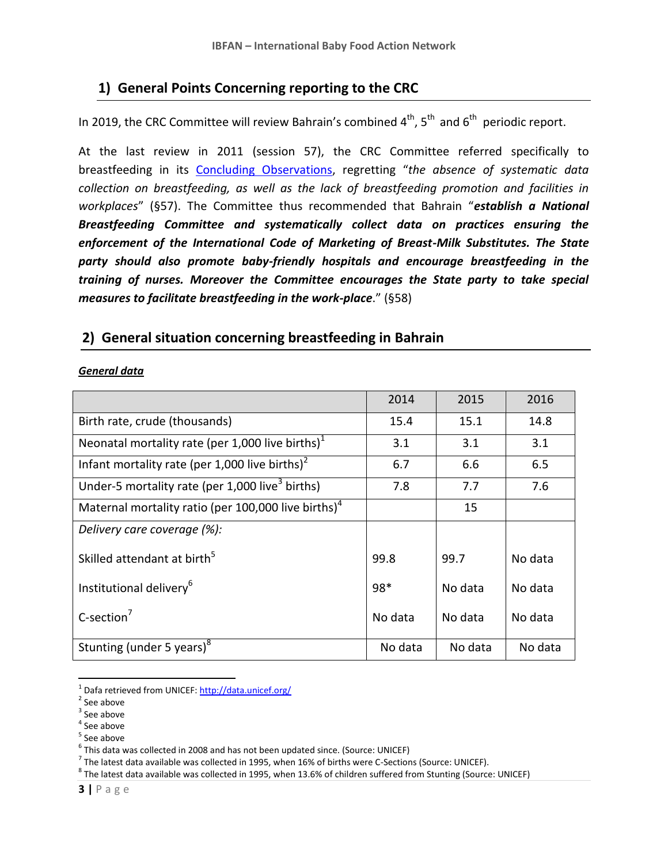## **1) General Points Concerning reporting to the CRC**

In 2019, the CRC Committee will review Bahrain's combined  $4^{th}$ ,  $5^{th}$  and  $6^{th}$  periodic report.

At the last review in 2011 (session 57), the CRC Committee referred specifically to breastfeeding in its [Concluding Observations](http://docstore.ohchr.org/SelfServices/FilesHandler.ashx?enc=6QkG1d%2fPPRiCAqhKb7yhsi7xw6YrkPJs6SHKFIZEWDVzyLYQWW%2fDba38tZ3UycIdOOu0J5USAaBAVbBCmA%2fSoIfaK6OE6n9TSBIuMEcdn%2fZ2sOjqel0jHiRptm0TJyEA), regretting "*the absence of systematic data collection on breastfeeding, as well as the lack of breastfeeding promotion and facilities in workplaces*" (§57). The Committee thus recommended that Bahrain "*establish a National Breastfeeding Committee and systematically collect data on practices ensuring the enforcement of the International Code of Marketing of Breast-Milk Substitutes. The State party should also promote baby-friendly hospitals and encourage breastfeeding in the training of nurses. Moreover the Committee encourages the State party to take special measures to facilitate breastfeeding in the work-place*." (§58)

## **2) General situation concerning breastfeeding in Bahrain**

#### *General data*

|                                                                 | 2014    | 2015    | 2016    |  |
|-----------------------------------------------------------------|---------|---------|---------|--|
| Birth rate, crude (thousands)                                   | 15.4    | 15.1    | 14.8    |  |
| Neonatal mortality rate (per 1,000 live births) <sup>1</sup>    | 3.1     | 3.1     | 3.1     |  |
| Infant mortality rate (per 1,000 live births) <sup>2</sup>      | 6.7     | 6.6     | 6.5     |  |
| Under-5 mortality rate (per 1,000 live <sup>3</sup> births)     | 7.8     | 7.7     | 7.6     |  |
| Maternal mortality ratio (per 100,000 live births) <sup>4</sup> |         | 15      |         |  |
| Delivery care coverage (%):                                     |         |         |         |  |
| Skilled attendant at birth <sup>5</sup>                         | 99.8    | 99.7    | No data |  |
| Institutional delivery <sup>6</sup>                             | 98*     | No data | No data |  |
| $C$ -section <sup>7</sup>                                       | No data | No data | No data |  |
| Stunting (under 5 years) <sup>8</sup>                           | No data | No data | No data |  |

<sup>&</sup>lt;sup>1</sup> Dafa retrieved from UNICEF:<http://data.unicef.org/>

 $\overline{\phantom{a}}$ 

<sup>&</sup>lt;sup>2</sup> See above

 $3$  See above

<sup>4</sup> See above

<sup>&</sup>lt;sup>5</sup> See above

<sup>&</sup>lt;sup>6</sup> This data was collected in 2008 and has not been updated since. (Source: UNICEF)

 $^7$  The latest data available was collected in 1995, when 16% of births were C-Sections (Source: UNICEF).

 $^8$  The latest data available was collected in 1995, when 13.6% of children suffered from Stunting (Source: UNICEF)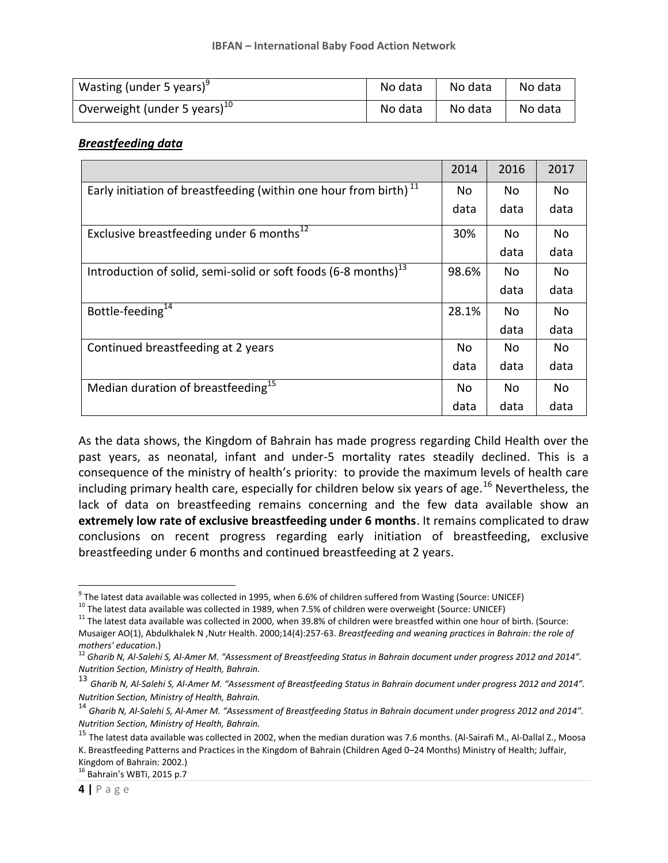| Wasting (under 5 years) <sup>9</sup>           | No data | No data | No data |
|------------------------------------------------|---------|---------|---------|
| $^{\prime}$ Overweight (under 5 years) $^{10}$ | No data | No data | No data |

#### *Breastfeeding data*

|                                                                              | 2014  | 2016 | 2017 |
|------------------------------------------------------------------------------|-------|------|------|
| Early initiation of breastfeeding (within one hour from birth) <sup>11</sup> |       | No   | No   |
|                                                                              | data  | data | data |
| Exclusive breastfeeding under 6 months <sup>12</sup>                         | 30%   | No.  | No   |
|                                                                              |       | data | data |
| Introduction of solid, semi-solid or soft foods (6-8 months) <sup>13</sup>   | 98.6% | No   | No   |
|                                                                              |       | data | data |
| Bottle-feeding <sup>14</sup>                                                 | 28.1% | No   | No.  |
|                                                                              |       | data | data |
| Continued breastfeeding at 2 years                                           | No    | No   | No   |
|                                                                              | data  | data | data |
| Median duration of breastfeeding <sup>15</sup>                               | No    | No   | No   |
|                                                                              | data  | data | data |

As the data shows, the Kingdom of Bahrain has made progress regarding Child Health over the past years, as neonatal, infant and under-5 mortality rates steadily declined. This is a consequence of the ministry of health's priority: to provide the maximum levels of health care including primary health care, especially for children below six years of age.<sup>16</sup> Nevertheless, the lack of data on breastfeeding remains concerning and the few data available show an **extremely low rate of exclusive breastfeeding under 6 months**. It remains complicated to draw conclusions on recent progress regarding early initiation of breastfeeding, exclusive breastfeeding under 6 months and continued breastfeeding at 2 years.

11 The latest data available was collected in 1989, when 7.5% of children were overweight (Source: UNICEF)

 $\overline{a}$ 

<sup>&</sup>lt;sup>9</sup> The latest data available was collected in 1995, when 6.6% of children suffered from Wasting (Source: UNICEF)

 $11$  The latest data available was collected in 2000, when 39.8% of children were breastfed within one hour of birth. (Source: Musaiger AO(1), Abdulkhalek N ,Nutr Health. 2000;14(4):257-63. *Breastfeeding and weaning practices in Bahrain: the role of mothers' education*.)

<sup>12</sup> *Gharib N, Al-Salehi S, Al-Amer M. "Assessment of Breastfeeding Status in Bahrain document under progress 2012 and 2014". Nutrition Section, Ministry of Health, Bahrain.*

<sup>13</sup> *Gharib N, Al-Salehi S, Al-Amer M. "Assessment of Breastfeeding Status in Bahrain document under progress 2012 and 2014". Nutrition Section, Ministry of Health, Bahrain.*

<sup>14</sup> *Gharib N, Al-Salehi S, Al-Amer M. "Assessment of Breastfeeding Status in Bahrain document under progress 2012 and 2014". Nutrition Section, Ministry of Health, Bahrain.*

<sup>&</sup>lt;sup>15</sup> The latest data available was collected in 2002, when the median duration was 7.6 months. (Al-Sairafi M., Al-Dallal Z., Moosa K. Breastfeeding Patterns and Practices in the Kingdom of Bahrain (Children Aged 0–24 Months) Ministry of Health; Juffair, Kingdom of Bahrain: 2002.) <sup>16</sup> Bahrain's WBTi, 2015 p.7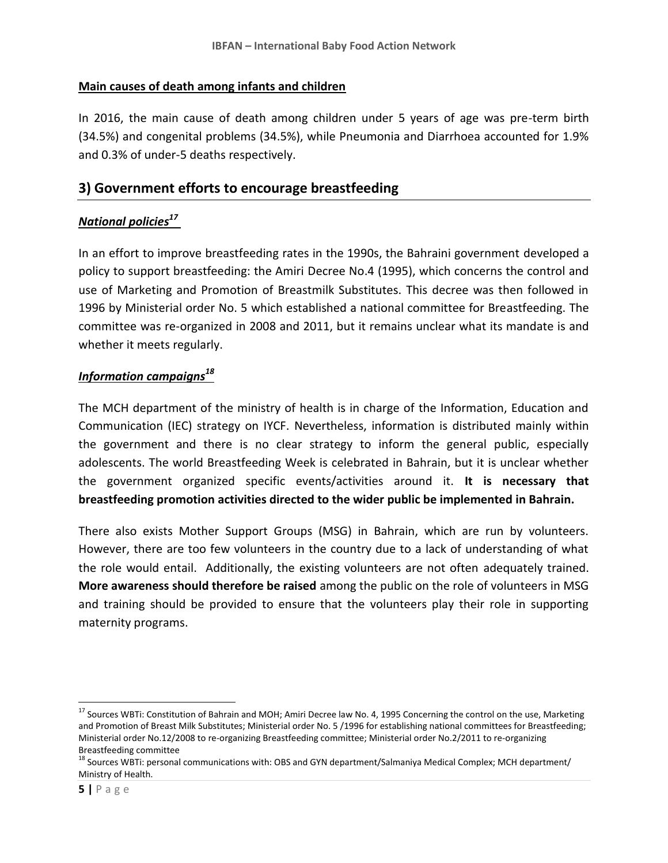#### **Main causes of death among infants and children**

In 2016, the main cause of death among children under 5 years of age was pre-term birth (34.5%) and congenital problems (34.5%), while Pneumonia and Diarrhoea accounted for 1.9% and 0.3% of under-5 deaths respectively.

## **3) Government efforts to encourage breastfeeding**

## *National policies<sup>17</sup>*

In an effort to improve breastfeeding rates in the 1990s, the Bahraini government developed a policy to support breastfeeding: the Amiri Decree No.4 (1995), which concerns the control and use of Marketing and Promotion of Breastmilk Substitutes. This decree was then followed in 1996 by Ministerial order No. 5 which established a national committee for Breastfeeding. The committee was re-organized in 2008 and 2011, but it remains unclear what its mandate is and whether it meets regularly.

## *Information campaigns<sup>18</sup>*

The MCH department of the ministry of health is in charge of the Information, Education and Communication (IEC) strategy on IYCF. Nevertheless, information is distributed mainly within the government and there is no clear strategy to inform the general public, especially adolescents. The world Breastfeeding Week is celebrated in Bahrain, but it is unclear whether the government organized specific events/activities around it. **It is necessary that breastfeeding promotion activities directed to the wider public be implemented in Bahrain.**

There also exists Mother Support Groups (MSG) in Bahrain, which are run by volunteers. However, there are too few volunteers in the country due to a lack of understanding of what the role would entail. Additionally, the existing volunteers are not often adequately trained. **More awareness should therefore be raised** among the public on the role of volunteers in MSG and training should be provided to ensure that the volunteers play their role in supporting maternity programs.

<sup>&</sup>lt;sup>17</sup> Sources WBTi: Constitution of Bahrain and MOH; Amiri Decree law No. 4, 1995 Concerning the control on the use, Marketing and Promotion of Breast Milk Substitutes; Ministerial order No. 5 /1996 for establishing national committees for Breastfeeding; Ministerial order No.12/2008 to re-organizing Breastfeeding committee; Ministerial order No.2/2011 to re-organizing Breastfeeding committee

<sup>&</sup>lt;sup>18</sup> Sources WBTi: personal communications with: OBS and GYN department/Salmaniya Medical Complex; MCH department/ Ministry of Health.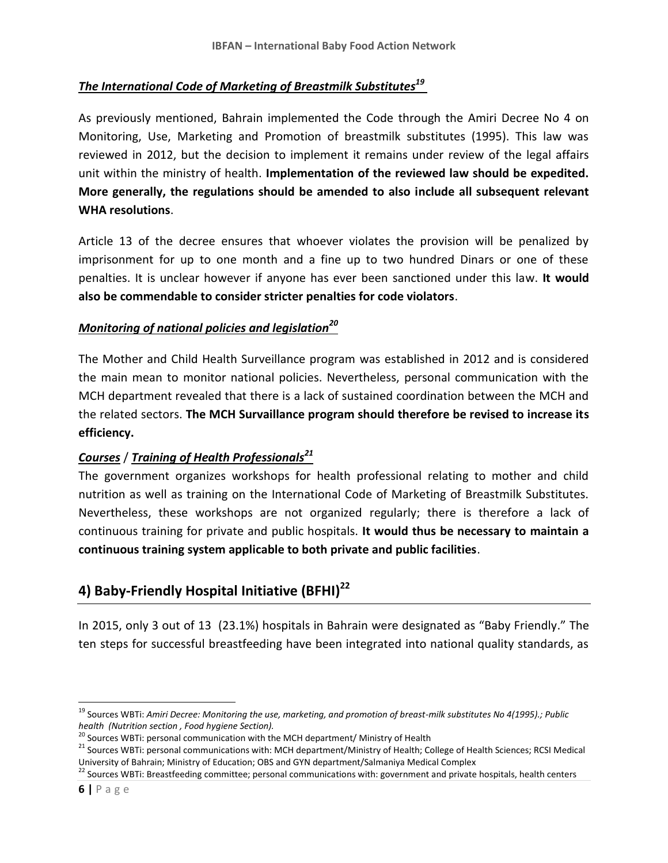#### *The International Code of Marketing of Breastmilk Substitutes<sup>19</sup>*

As previously mentioned, Bahrain implemented the Code through the Amiri Decree No 4 on Monitoring, Use, Marketing and Promotion of breastmilk substitutes (1995). This law was reviewed in 2012, but the decision to implement it remains under review of the legal affairs unit within the ministry of health. **Implementation of the reviewed law should be expedited. More generally, the regulations should be amended to also include all subsequent relevant WHA resolutions**.

Article 13 of the decree ensures that whoever violates the provision will be penalized by imprisonment for up to one month and a fine up to two hundred Dinars or one of these penalties. It is unclear however if anyone has ever been sanctioned under this law. **It would also be commendable to consider stricter penalties for code violators**.

#### *Monitoring of national policies and legislation<sup>20</sup>*

The Mother and Child Health Surveillance program was established in 2012 and is considered the main mean to monitor national policies. Nevertheless, personal communication with the MCH department revealed that there is a lack of sustained coordination between the MCH and the related sectors. **The MCH Survaillance program should therefore be revised to increase its efficiency.** 

## *Courses* / *Training of Health Professionals<sup>21</sup>*

The government organizes workshops for health professional relating to mother and child nutrition as well as training on the International Code of Marketing of Breastmilk Substitutes. Nevertheless, these workshops are not organized regularly; there is therefore a lack of continuous training for private and public hospitals. **It would thus be necessary to maintain a continuous training system applicable to both private and public facilities**.

# **4) Baby-Friendly Hospital Initiative (BFHI)<sup>22</sup>**

In 2015, only 3 out of 13 (23.1%) hospitals in Bahrain were designated as "Baby Friendly." The ten steps for successful breastfeeding have been integrated into national quality standards, as

<sup>19</sup> Sources WBTi: *Amiri Decree: Monitoring the use, marketing, and promotion of breast-milk substitutes No 4(1995).; Public health (Nutrition section , Food hygiene Section).*

<sup>&</sup>lt;sup>20</sup> Sources WBTi: personal communication with the MCH department/ Ministry of Health

<sup>&</sup>lt;sup>21</sup> Sources WBTi: personal communications with: MCH department/Ministry of Health; College of Health Sciences; RCSI Medical University of Bahrain; Ministry of Education; OBS and GYN department/Salmaniya Medical Complex

<sup>&</sup>lt;sup>22</sup> Sources WBTi: Breastfeeding committee; personal communications with: government and private hospitals, health centers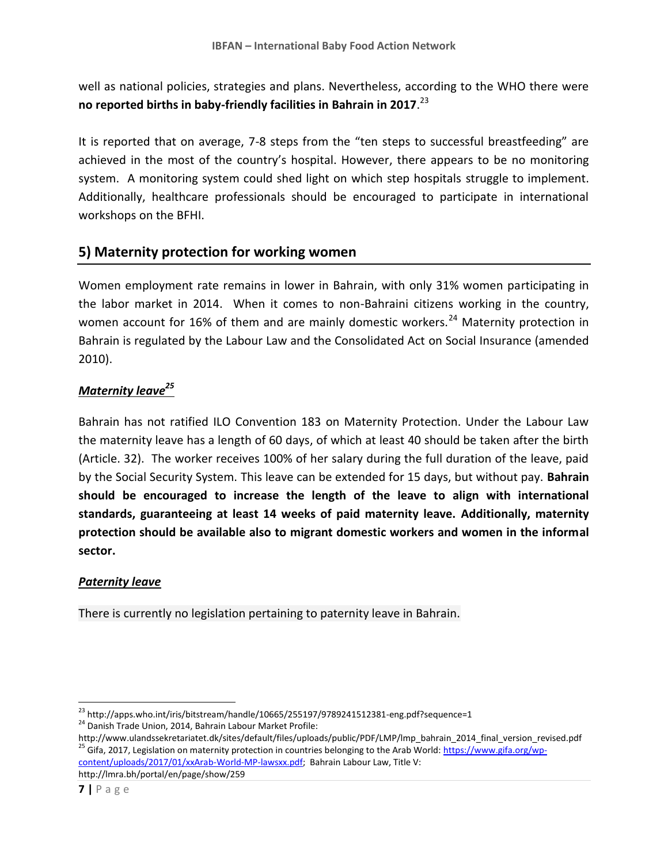well as national policies, strategies and plans. Nevertheless, according to the WHO there were **no reported births in baby-friendly facilities in Bahrain in 2017**. 23

It is reported that on average, 7-8 steps from the "ten steps to successful breastfeeding" are achieved in the most of the country's hospital. However, there appears to be no monitoring system. A monitoring system could shed light on which step hospitals struggle to implement. Additionally, healthcare professionals should be encouraged to participate in international workshops on the BFHI.

## **5) Maternity protection for working women**

Women employment rate remains in lower in Bahrain, with only 31% women participating in the labor market in 2014. When it comes to non-Bahraini citizens working in the country, women account for 16% of them and are mainly domestic workers.<sup>24</sup> Maternity protection in Bahrain is regulated by the Labour Law and the Consolidated Act on Social Insurance (amended 2010).

## *Maternity leave<sup>25</sup>*

Bahrain has not ratified ILO Convention 183 on Maternity Protection. Under the Labour Law the maternity leave has a length of 60 days, of which at least 40 should be taken after the birth (Article. 32). The worker receives 100% of her salary during the full duration of the leave, paid by the Social Security System. This leave can be extended for 15 days, but without pay. **Bahrain should be encouraged to increase the length of the leave to align with international standards, guaranteeing at least 14 weeks of paid maternity leave. Additionally, maternity protection should be available also to migrant domestic workers and women in the informal sector.**

## *Paternity leave*

There is currently no legislation pertaining to paternity leave in Bahrain.

http://www.ulandssekretariatet.dk/sites/default/files/uploads/public/PDF/LMP/lmp\_bahrain\_2014\_final\_version\_revised.pdf <sup>25</sup> Gifa, 2017, Legislation on maternity protection in countries belonging to the Arab World[: https://www.gifa.org/wp](https://www.gifa.org/wp-content/uploads/2017/01/xxArab-World-MP-lawsxx.pdf)[content/uploads/2017/01/xxArab-World-MP-lawsxx.pdf;](https://www.gifa.org/wp-content/uploads/2017/01/xxArab-World-MP-lawsxx.pdf) Bahrain Labour Law, Title V:

http://lmra.bh/portal/en/page/show/259

<sup>&</sup>lt;sup>23</sup> http://apps.who.int/iris/bitstream/handle/10665/255197/9789241512381-eng.pdf?sequence=1 <sup>24</sup> Danish Trade Union, 2014, Bahrain Labour Market Profile: